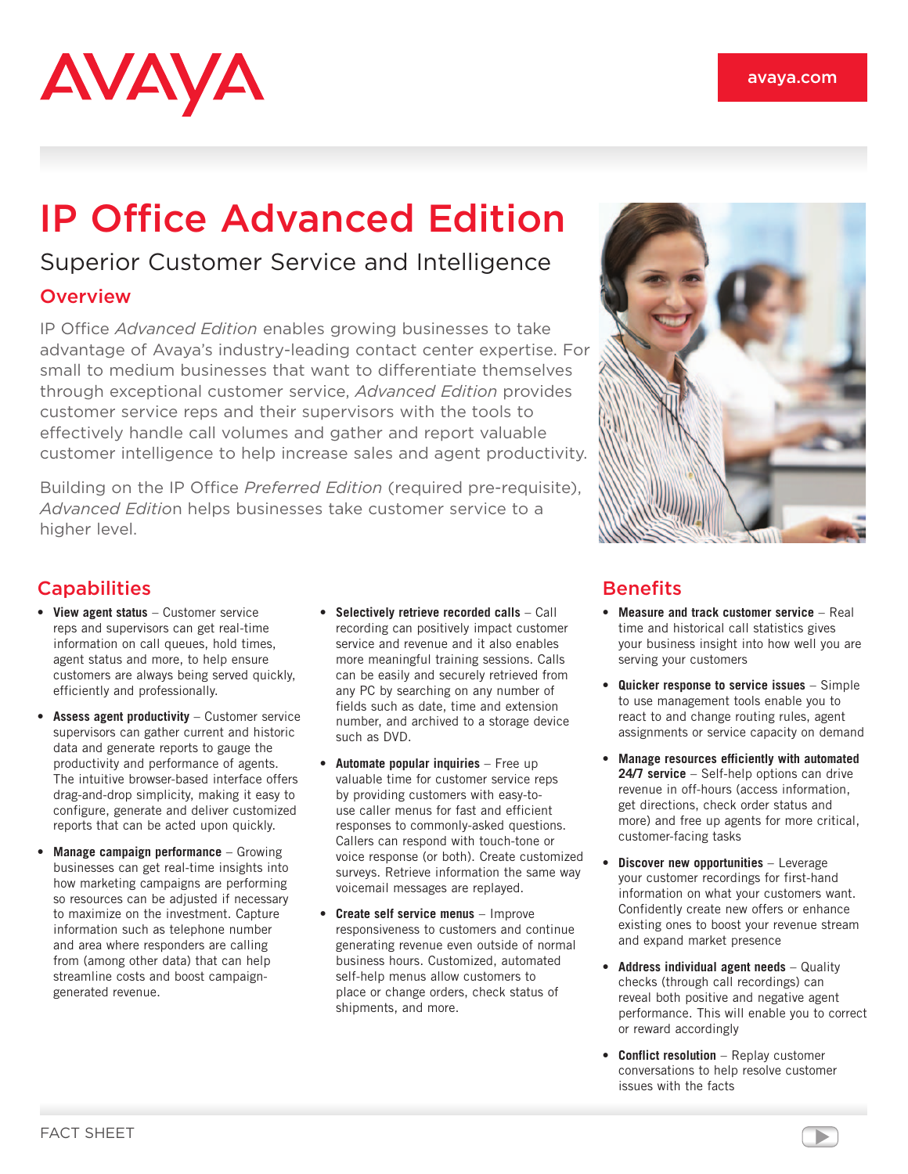# AVAYA

## IP Office Advanced Edition

### Superior Customer Service and Intelligence

#### **Overview**

IP Office *Advanced Edition* enables growing businesses to take advantage of Avaya's industry-leading contact center expertise. For small to medium businesses that want to differentiate themselves through exceptional customer service, *Advanced Edition* provides customer service reps and their supervisors with the tools to effectively handle call volumes and gather and report valuable customer intelligence to help increase sales and agent productivity.

Building on the IP Office *Preferred Edition* (required pre-requisite), *Advanced Editio*n helps businesses take customer service to a higher level.



#### **Capabilities**

- • **View agent status** Customer service reps and supervisors can get real-time information on call queues, hold times, agent status and more, to help ensure customers are always being served quickly, efficiently and professionally.
- • **Assess agent productivity** Customer service supervisors can gather current and historic data and generate reports to gauge the productivity and performance of agents. The intuitive browser-based interface offers drag-and-drop simplicity, making it easy to configure, generate and deliver customized reports that can be acted upon quickly.
- • **Manage campaign performance** Growing businesses can get real-time insights into how marketing campaigns are performing so resources can be adjusted if necessary to maximize on the investment. Capture information such as telephone number and area where responders are calling from (among other data) that can help streamline costs and boost campaigngenerated revenue.
- • **Selectively retrieve recorded calls** Call recording can positively impact customer service and revenue and it also enables more meaningful training sessions. Calls can be easily and securely retrieved from any PC by searching on any number of fields such as date, time and extension number, and archived to a storage device such as DVD.
- • **Automate popular inquiries** Free up valuable time for customer service reps by providing customers with easy-touse caller menus for fast and efficient responses to commonly-asked questions. Callers can respond with touch-tone or voice response (or both). Create customized surveys. Retrieve information the same way voicemail messages are replayed.
- • **Create self service menus** Improve responsiveness to customers and continue generating revenue even outside of normal business hours. Customized, automated self-help menus allow customers to place or change orders, check status of shipments, and more.

#### **Benefits**

- • **Measure and track customer service** Real time and historical call statistics gives your business insight into how well you are serving your customers
- • **Quicker response to service issues** Simple to use management tools enable you to react to and change routing rules, agent assignments or service capacity on demand
- • **Manage resources efficiently with automated 24/7 service** – Self-help options can drive revenue in off-hours (access information, get directions, check order status and more) and free up agents for more critical, customer-facing tasks
- **Discover new opportunities** Leverage your customer recordings for first-hand information on what your customers want. Confidently create new offers or enhance existing ones to boost your revenue stream and expand market presence
- • **Address individual agent needs** Quality checks (through call recordings) can reveal both positive and negative agent performance. This will enable you to correct or reward accordingly
- • **Conflict resolution** Replay customer conversations to help resolve customer issues with the facts